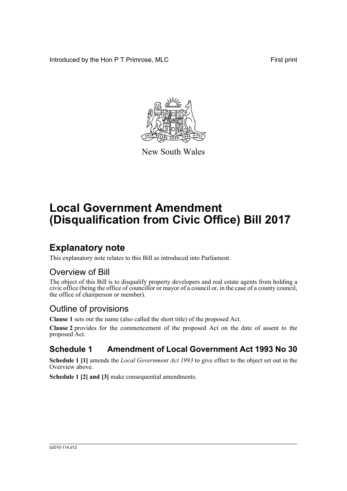Introduced by the Hon P T Primrose, MLC First print



New South Wales

# **Local Government Amendment (Disqualification from Civic Office) Bill 2017**

### **Explanatory note**

This explanatory note relates to this Bill as introduced into Parliament.

#### Overview of Bill

The object of this Bill is to disqualify property developers and real estate agents from holding a civic office (being the office of councillor or mayor of a council or, in the case of a county council, the office of chairperson or member).

### Outline of provisions

**Clause 1** sets out the name (also called the short title) of the proposed Act.

**Clause 2** provides for the commencement of the proposed Act on the date of assent to the proposed Act.

#### **Schedule 1 Amendment of Local Government Act 1993 No 30**

**Schedule 1 [1]** amends the *Local Government Act 1993* to give effect to the object set out in the Overview above.

**Schedule 1 [2] and [3]** make consequential amendments.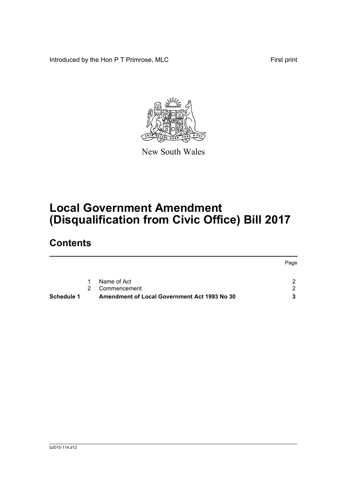Introduced by the Hon P T Primrose, MLC First print



New South Wales

## **Local Government Amendment (Disqualification from Civic Office) Bill 2017**

### **Contents**

|            |               |                                              | Page |
|------------|---------------|----------------------------------------------|------|
|            | 1             | Name of Act                                  | 2    |
|            | $\mathcal{P}$ | Commencement                                 | 2    |
| Schedule 1 |               | Amendment of Local Government Act 1993 No 30 | 3    |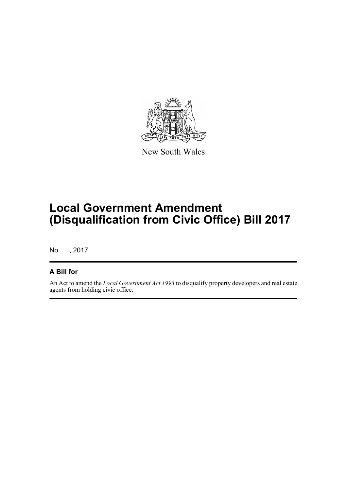

New South Wales

## **Local Government Amendment (Disqualification from Civic Office) Bill 2017**

No , 2017

#### **A Bill for**

An Act to amend the *Local Government Act 1993* to disqualify property developers and real estate agents from holding civic office.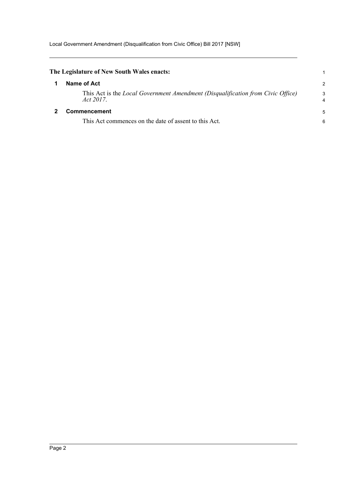<span id="page-3-1"></span><span id="page-3-0"></span>

| The Legislature of New South Wales enacts:                                                      |               |
|-------------------------------------------------------------------------------------------------|---------------|
| Name of Act                                                                                     | $\mathcal{P}$ |
| This Act is the Local Government Amendment (Disqualification from Civic Office)<br>Act $2017$ . | 3<br>4        |
| <b>Commencement</b>                                                                             | 5             |
| This Act commences on the date of assent to this Act.                                           | 6             |
|                                                                                                 |               |